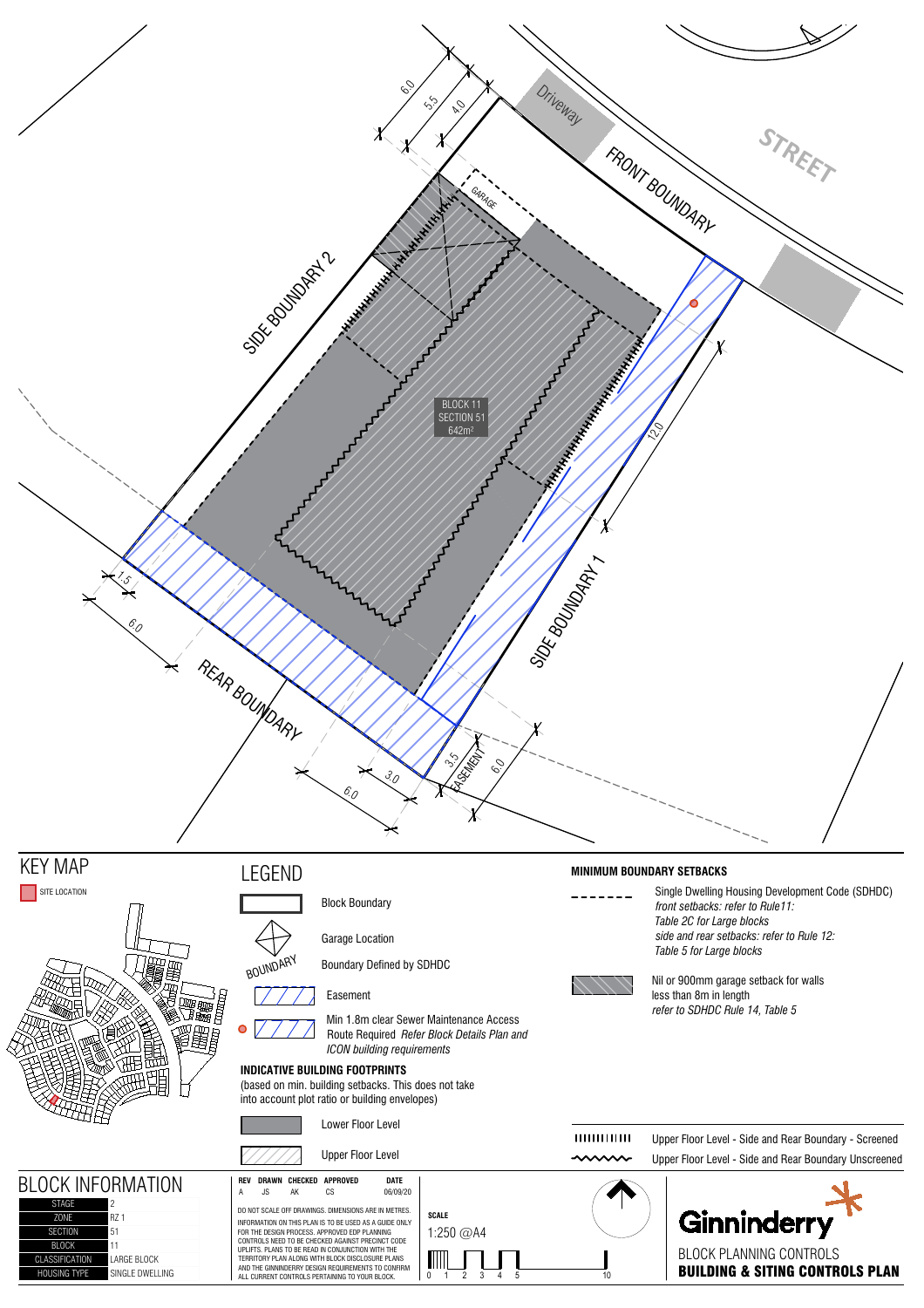